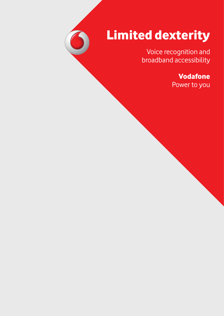## Limited dexterity

Voice recognition and broadband accessibility

> Vodafone Power to you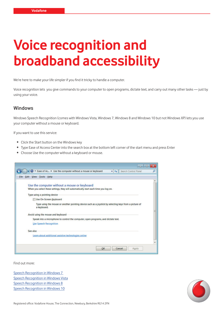## **Voice recognition and broadband accessibility**

We're here to make your life simpler if you find it tricky to handle a computer.

Voice recognition lets you give commands to your computer to open programs, dictate text, and carry out many other tasks — just by using your voice.

## **Windows**

Windows Speech Recognition (comes with Windows Vista, Windows 7, Windows 8 and Windows 10 but not Windows XP) lets you use your computer without a mouse or keyboard.

If you want to use this service:

- Click the Start button on the Windows key
- Type Ease of Access Center into the search box at the bottom left corner of the start menu and press Enter
- Choose Use the computer without a keyboard or mouse.



Find out more:

[Speech Recognition in Windows 7](http://windows.microsoft.com/en-us/windows/use-speech-recognition-operate-windows-programs#1TC=windows-7)  [Speech Recognition in Windows Vista](http://windows.microsoft.com/en-us/windows/use-speech-recognition-operate-windows-programs%231TC=windows-7#1TC=windows-vista) [Speech Recognition in Windows 8](http://windows.microsoft.com/en-us/windows-8/using-speech-recognition) [Speech Recognition in Windows 10](http://windows.microsoft.com/en-us/windows-10/getstarted-use-speech-recognition)